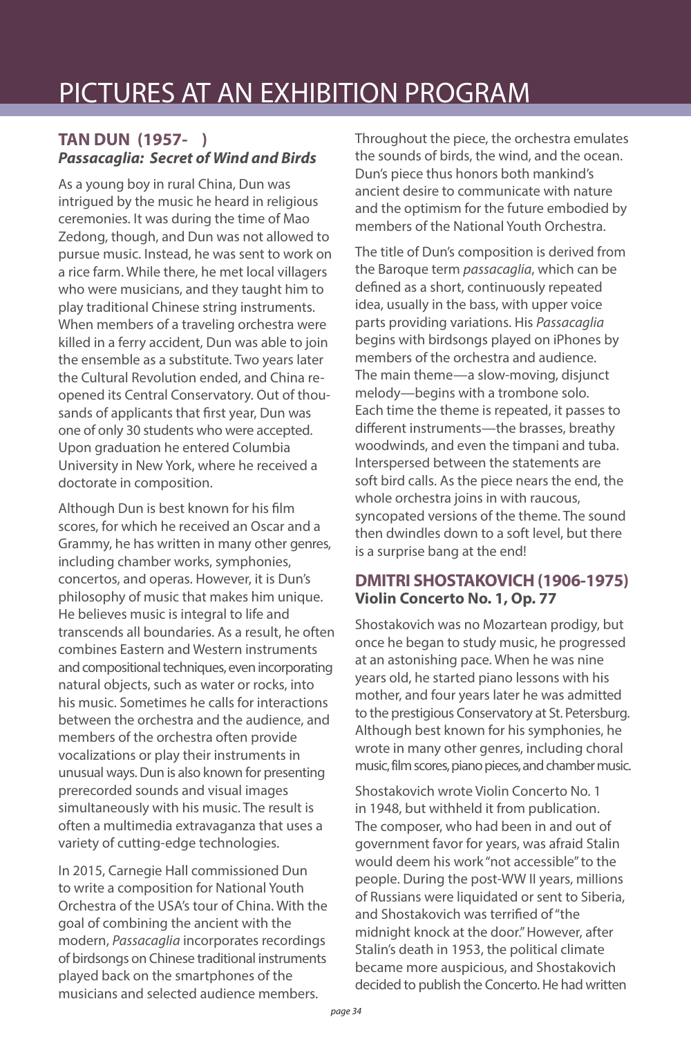### **TAN DUN (1957- )** *Passacaglia: Secret of Wind and Birds*

As a young boy in rural China, Dun was intrigued by the music he heard in religious ceremonies. It was during the time of Mao Zedong, though, and Dun was not allowed to pursue music. Instead, he was sent to work on a rice farm. While there, he met local villagers who were musicians, and they taught him to play traditional Chinese string instruments. When members of a traveling orchestra were killed in a ferry accident, Dun was able to join the ensemble as a substitute. Two years later the Cultural Revolution ended, and China reopened its Central Conservatory. Out of thousands of applicants that first year, Dun was one of only 30 students who were accepted. Upon graduation he entered Columbia University in New York, where he received a doctorate in composition.

Although Dun is best known for his film scores, for which he received an Oscar and a Grammy, he has written in many other genres, including chamber works, symphonies, concertos, and operas. However, it is Dun's philosophy of music that makes him unique. He believes music is integral to life and transcends all boundaries. As a result, he often combines Eastern and Western instruments and compositional techniques, even incorporating natural objects, such as water or rocks, into his music. Sometimes he calls for interactions between the orchestra and the audience, and members of the orchestra often provide vocalizations or play their instruments in unusual ways. Dun is also known for presenting prerecorded sounds and visual images simultaneously with his music. The result is often a multimedia extravaganza that uses a variety of cutting-edge technologies.

In 2015, Carnegie Hall commissioned Dun to write a composition for National Youth Orchestra of the USA's tour of China. With the goal of combining the ancient with the modern, *Passacaglia* incorporates recordings of birdsongs on Chinese traditional instruments played back on the smartphones of the musicians and selected audience members.

Throughout the piece, the orchestra emulates the sounds of birds, the wind, and the ocean. Dun's piece thus honors both mankind's ancient desire to communicate with nature and the optimism for the future embodied by members of the National Youth Orchestra.

The title of Dun's composition is derived from the Baroque term *passacaglia*, which can be defined as a short, continuously repeated idea, usually in the bass, with upper voice parts providing variations. His *Passacaglia*  begins with birdsongs played on iPhones by members of the orchestra and audience. The main theme—a slow-moving, disjunct melody—begins with a trombone solo. Each time the theme is repeated, it passes to different instruments—the brasses, breathy woodwinds, and even the timpani and tuba. Interspersed between the statements are soft bird calls. As the piece nears the end, the whole orchestra joins in with raucous, syncopated versions of the theme. The sound then dwindles down to a soft level, but there is a surprise bang at the end!

### **DMITRI SHOSTAKOVICH (1906-1975) Violin Concerto No. 1, Op. 77**

Shostakovich was no Mozartean prodigy, but once he began to study music, he progressed at an astonishing pace. When he was nine years old, he started piano lessons with his mother, and four years later he was admitted to the prestigious Conservatory at St. Petersburg. Although best known for his symphonies, he wrote in many other genres, including choral music, film scores, piano pieces, and chamber music.

Shostakovich wrote Violin Concerto No. 1 in 1948, but withheld it from publication. The composer, who had been in and out of government favor for years, was afraid Stalin would deem his work "not accessible" to the people. During the post-WW II years, millions of Russians were liquidated or sent to Siberia, and Shostakovich was terrified of "the midnight knock at the door." However, after Stalin's death in 1953, the political climate became more auspicious, and Shostakovich decided to publish the Concerto. He had written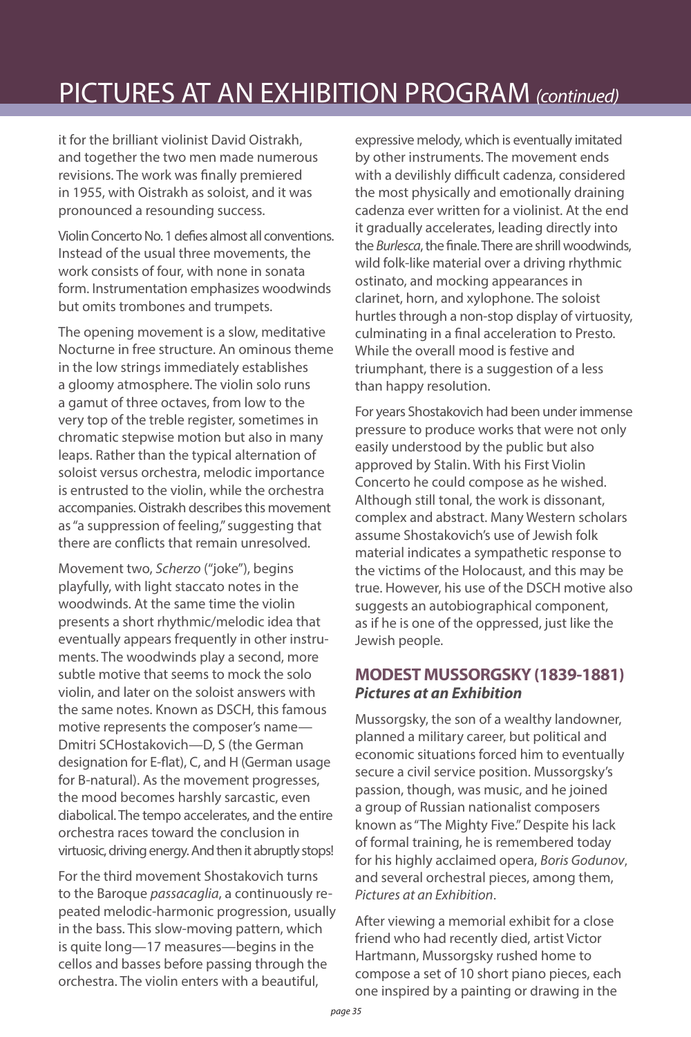# PICTURES AT AN EXHIBITION PROGRAM *(continued)*

it for the brilliant violinist David Oistrakh, and together the two men made numerous revisions. The work was finally premiered in 1955, with Oistrakh as soloist, and it was pronounced a resounding success.

Violin Concerto No. 1 defies almost all conventions. Instead of the usual three movements, the work consists of four, with none in sonata form. Instrumentation emphasizes woodwinds but omits trombones and trumpets.

The opening movement is a slow, meditative Nocturne in free structure. An ominous theme in the low strings immediately establishes a gloomy atmosphere. The violin solo runs a gamut of three octaves, from low to the very top of the treble register, sometimes in chromatic stepwise motion but also in many leaps. Rather than the typical alternation of soloist versus orchestra, melodic importance is entrusted to the violin, while the orchestra accompanies. Oistrakh describes this movement as "a suppression of feeling," suggesting that there are conflicts that remain unresolved.

Movement two, *Scherzo* ("joke"), begins playfully, with light staccato notes in the woodwinds. At the same time the violin presents a short rhythmic/melodic idea that eventually appears frequently in other instruments. The woodwinds play a second, more subtle motive that seems to mock the solo violin, and later on the soloist answers with the same notes. Known as DSCH, this famous motive represents the composer's name— Dmitri SCHostakovich—D, S (the German designation for E-flat), C, and H (German usage for B-natural). As the movement progresses, the mood becomes harshly sarcastic, even diabolical. The tempo accelerates, and the entire orchestra races toward the conclusion in virtuosic, driving energy. And then it abruptly stops!

For the third movement Shostakovich turns to the Baroque *passacaglia*, a continuously repeated melodic-harmonic progression, usually in the bass. This slow-moving pattern, which is quite long—17 measures—begins in the cellos and basses before passing through the orchestra. The violin enters with a beautiful,

expressive melody, which is eventually imitated by other instruments. The movement ends with a devilishly difficult cadenza, considered the most physically and emotionally draining cadenza ever written for a violinist. At the end it gradually accelerates, leading directly into the *Burlesca*, the finale. There are shrill woodwinds, wild folk-like material over a driving rhythmic ostinato, and mocking appearances in clarinet, horn, and xylophone. The soloist hurtles through a non-stop display of virtuosity, culminating in a final acceleration to Presto. While the overall mood is festive and triumphant, there is a suggestion of a less than happy resolution.

For years Shostakovich had been under immense pressure to produce works that were not only easily understood by the public but also approved by Stalin. With his First Violin Concerto he could compose as he wished. Although still tonal, the work is dissonant, complex and abstract. Many Western scholars assume Shostakovich's use of Jewish folk material indicates a sympathetic response to the victims of the Holocaust, and this may be true. However, his use of the DSCH motive also suggests an autobiographical component, as if he is one of the oppressed, just like the Jewish people.

### **MODEST MUSSORGSKY (1839-1881)** *Pictures at an Exhibition*

Mussorgsky, the son of a wealthy landowner, planned a military career, but political and economic situations forced him to eventually secure a civil service position. Mussorgsky's passion, though, was music, and he joined a group of Russian nationalist composers known as "The Mighty Five." Despite his lack of formal training, he is remembered today for his highly acclaimed opera, *Boris Godunov*, and several orchestral pieces, among them, *Pictures at an Exhibition*.

After viewing a memorial exhibit for a close friend who had recently died, artist Victor Hartmann, Mussorgsky rushed home to compose a set of 10 short piano pieces, each one inspired by a painting or drawing in the